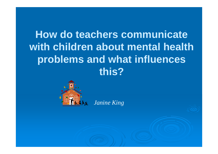# **How do teachers communicate with children about mental health problems and what influences this?**



*Janine King*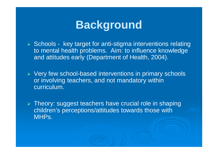# **Background**

Schools - key target for anti-stigma interventions relating<br>Alimental haalth problems. Alim to influence knowledge to mental health problems. Aim: to influence knowledge and attitudes early (Department of Health, 2004).

▶ Very few school-based interventions in primary schools or involving teachers, and not mandatory within curriculum.

> Theory: suggest teachers have crucial role in shaping children's perceptions/attitudes towards those with MHPs.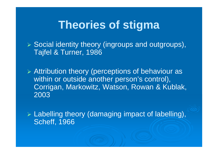# **Theories of stigma**

> Social identity theory (ingroups and outgroups), Tajfel & Turner, 1986

> Attribution theory (perceptions of behaviour as within or outside another person's control), Corrigan, Markowitz, Watson, Rowan & Kublak, 2003

 $\triangleright$  Labelling theory (damaging impact of labelling), Scheff, 1966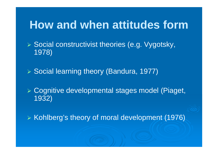#### **How and when attitudes form**

> Social constructivist theories (e.g. Vygotsky, 1978)

**▶ Social learning theory (Bandura, 1977)** 

 Cognitive developmental stages model (Piaget, 1932)

 $\triangleright$  Kohlberg's theory of moral development (1976)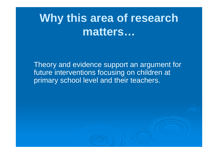# **Why this area of research matters…**

Theory and evidence support an argument for future interventions focusing on children at primary school level and their teachers.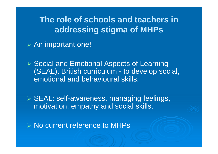**The role of schools and teachers in addressing stigma of MHPs**

**≽ An important one!** 

▶ Social and Emotional Aspects of Learning (SEAL), British curriculum - to develop social, emotional and behavioural skills.

> SEAL: self-awareness, managing feelings, motivation, empathy and social skills.

> No current reference to MHPs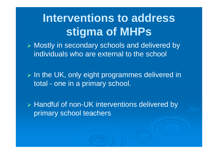# **Interventions to address stigma of MHPs**

> Mostly in secondary schools and delivered by individuals who are external to the school

> In the UK, only eight programmes delivered in total - one in a primary school.

> Handful of non-UK interventions delivered by primary school teachers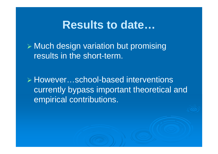#### **Results to date…**

 Much design variation but promising results in the short-term.

> However...school-based interventions currently bypass important theoretical and empirical contributions.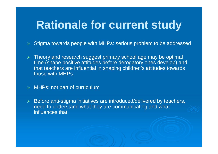# **Rationale for current study**

- $\triangleright$  Stigma towards people with MHPs: serious problem to be addressed
- > Theory and research suggest primary school age may be optimal time (shape positive attitudes before derogatory ones develop) and that teachers are influential in shaping children's attitudes towards those with MHPs.
- MHPs: not part of curriculum
- Before anti-stigma initiatives are introduced/delivered by teachers, need to understand what they are communicating and what influences that.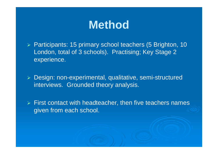# **Method**

> Participants: 15 primary school teachers (5 Brighton, 10 London, total of 3 schools). Practising; Key Stage 2 experience.

> Design: non-experimental, qualitative, semi-structured interviews. Grounded theory analysis.

 $\triangleright$  First contact with headteacher, then five teachers names given from each school.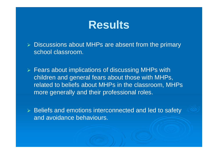#### **Results**

- > Discussions about MHPs are absent from the primary school classroom.
- > Fears about implications of discussing MHPs with children and general fears about those with MHPs, related to beliefs about MHPs in the classroom, MHPs more generally and their professional roles.
- > Beliefs and emotions interconnected and led to safety and avoidance behaviours.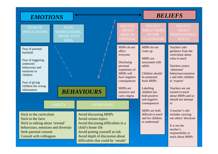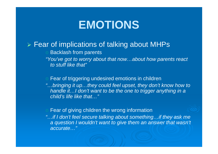# **EMOTIONS**

#### > Fear of implications of talking about MHPs

Backlash from parents

"You've got to worry about that now…about how parents react to stuff like that"

#### Fear of triggering undesired emotions in children

"…bringing it up…they could feel upset, they don't know how to handle it... I don't want to be the one to trigger anything in a child's life like that…"

#### Fear of giving children the wrong information

"…if I don't feel secure talking about something…if they ask me a question I wouldn't want to give them an answer that wasn't accurate…"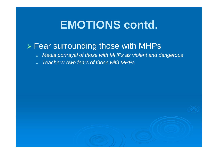# **EMOTIONS contd.**

# > Fear surrounding those with MHPs

- oMedia portrayal of those with MHPs as violent and dangerous
- oTeachers' own fears of those with MHPs

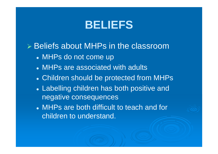# **BELIEFS**

Beliefs about MHPs in the classroom

- $\bullet$ MHPs do not come up
- $\bullet$ MHPs are associated with adults
- $\bullet$ Children should be protected from MHPs
- $\bullet$  Labelling children has both positive and negative consequences
- $\bullet$  MHPs are both difficult to teach and for children to understand.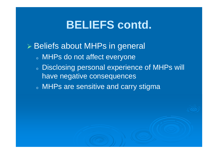# **BELIEFS contd.**

#### Beliefs about MHPs in general  $\circ$  MHPs do not affect everyone  $\circ$  Disclosing personal experience of MHPs will have negative consequences $\,$  MHPs are sensitive and carry stigma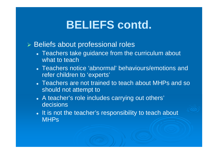# **BELIEFS contd.**

#### > Beliefs about professional roles

- $\bullet$  Teachers take guidance from the curriculum about what to teach
- $\bullet$  Teachers notice 'abnormal' behaviours/emotions and refer children to 'experts'
- $\bullet$  Teachers are not trained to teach about MHPs and so should not attempt to
- $\bullet$  A teacher's role includes carrying out others' decisions
- $\bullet$ • It is not the teacher's responsibility to teach about **MHPs**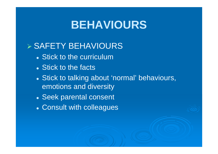# **BEHAVIOURS**

# SAFETY BEHAVIOURS

- $\bullet$ Stick to the curriculum
- $\bullet$ • Stick to the facts
- $\bullet$  Stick to talking about 'normal' behaviours, emotions and diversity
- $\bullet$ Seek parental consent
- $\bullet$ Consult with colleagues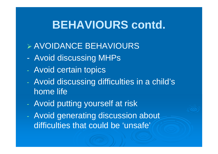# **BEHAVIOURS contd.**

# AVOIDANCE BEHAVIOURS

- Avoid discussing MHPs
- Avoid certain topics
- Avoid discussing difficulties in a child's home life
- Avoid putting yourself at risk
- Avoid generating discussion about difficulties that could be 'unsafe'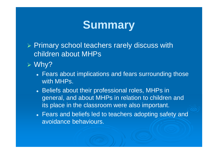# **Summary**

- > Primary school teachers rarely discuss with children about MHPs
- Why?
	- $\bullet$  Fears about implications and fears surrounding those with MHPs.
	- $\bullet$ • Beliefs about their professional roles, MHPs in general, and about MHPs in relation to children and its place in the classroom were also important.
	- $\bullet$  Fears and beliefs led to teachers adopting safety and avoidance behaviours.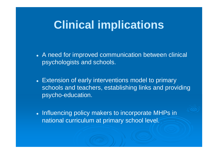# **Clinical implications**

- $\bullet$  A need for improved communication between clinical psychologists and schools.
- $\bullet$  Extension of early interventions model to primary schools and teachers, establishing links and providing psycho-education.
- $\bullet$ • Influencing policy makers to incorporate MHPs in national curriculum at primary school level.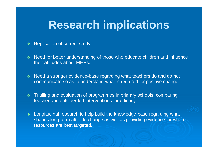# **Research implications**

- ❖ Replication of current study.
- **Need for better understanding of those who educate children and influence** their attitudes about MHPs.
- **Need a stronger evidence-base regarding what teachers do and do not** communicate so as to understand what is required for positive change.
- Trialling and evaluation of programmes in primary schools, comparing<br>Accelerate stricter lad interceptions for efficency teacher and outsider-led interventions for efficacy.
- Longitudinal research to help build the knowledge-base regarding what shapes long-term attitude change as well as providing evidence for where resources are best targeted.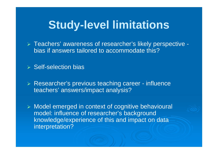#### **Study-level limitations**

> Teachers' awareness of researcher's likely perspective bias if answers tailored to accommodate this?

#### **▶ Self-selection bias**

- > Researcher's previous teaching career influence teachers' answers/impact analysis?
- > Model emerged in context of cognitive behavioural model: influence of researcher's background knowledge/experience of this and impact on data interpretation?